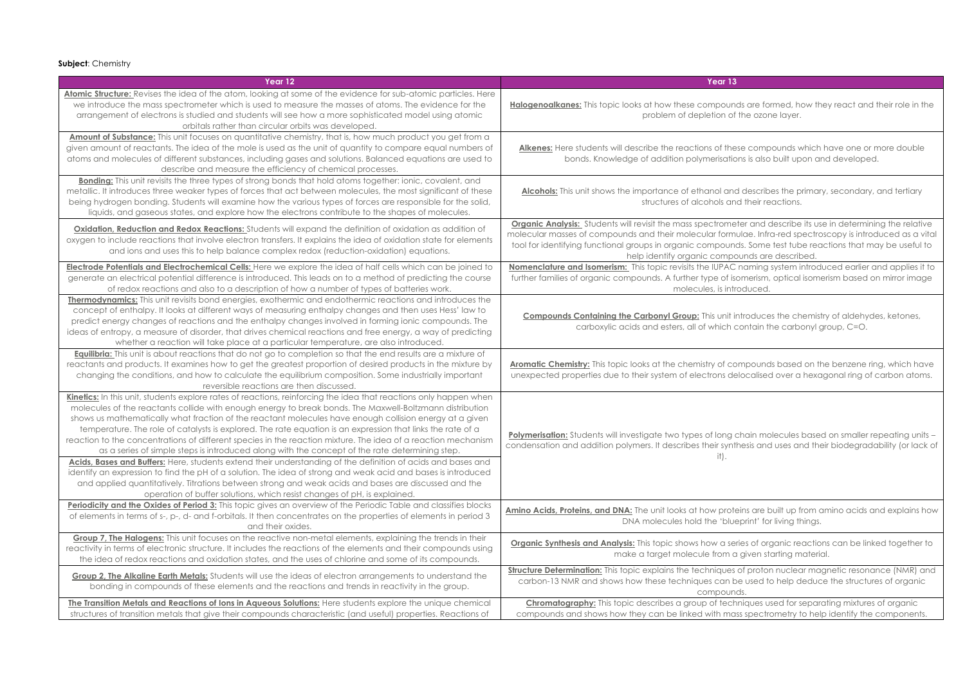**Subject**: Chemistry

**Compounds Containing the Carbonyl Group:** This unit introduces the chemistry of aldehydes, ketones, ch contain the carbonyl group, C=O.

compounds based on the benzene ring, which have delocalised over a hexagonal ring of carbon atoms.

ng chain molecules based on smaller repeating units – ynthesis and uses and their biodegradability (or lack of

roteins are built up from amino acids and explains how blueprint' for living things.

series of organic reactions can be linked together to m a given starting material.

**Jes of proton nuclear magnetic resonance (NMR) and** in be used to help deduce the structures of organic unds.

echniques used for separating mixtures of organic mass spectrometry to help identify the components.

| Year 13                                                                                                                                                                                                                  | Year 12                                                                                                                                                                                                                                                                                                                                                                                                                                                                                                                                                                                                                                                                                                                                                                                    |
|--------------------------------------------------------------------------------------------------------------------------------------------------------------------------------------------------------------------------|--------------------------------------------------------------------------------------------------------------------------------------------------------------------------------------------------------------------------------------------------------------------------------------------------------------------------------------------------------------------------------------------------------------------------------------------------------------------------------------------------------------------------------------------------------------------------------------------------------------------------------------------------------------------------------------------------------------------------------------------------------------------------------------------|
| Halogenoalkanes: This topic looks at how these compoun<br>problem of depletion of                                                                                                                                        | Atomic Structure: Revises the idea of the atom, looking at some of the evidence for sub-atomic particles. Here<br>we introduce the mass spectrometer which is used to measure the masses of atoms. The evidence for the<br>arrangement of electrons is studied and students will see how a more sophisticated model using atomic<br>orbitals rather than circular orbits was developed.                                                                                                                                                                                                                                                                                                                                                                                                    |
| Alkenes: Here students will describe the reactions of the<br>bonds. Knowledge of addition polymerisatic                                                                                                                  | Amount of Substance: This unit focuses on quantitative chemistry, that is, how much product you get from a<br>given amount of reactants. The idea of the mole is used as the unit of quantity to compare equal numbers of<br>atoms and molecules of different substances, including gases and solutions. Balanced equations are used to<br>describe and measure the efficiency of chemical processes.                                                                                                                                                                                                                                                                                                                                                                                      |
| <b>Alcohols:</b> This unit shows the importance of ethanol and<br>structures of alcohols an                                                                                                                              | Bonding: This unit revisits the three types of strong bonds that hold atoms together: ionic, covalent, and<br>metallic. It introduces three weaker types of forces that act between molecules, the most significant of these<br>being hydrogen bonding. Students will examine how the various types of forces are responsible for the solid,<br>liquids, and gaseous states, and explore how the electrons contribute to the shapes of molecules.                                                                                                                                                                                                                                                                                                                                          |
| <b>Organic Analysis:</b> Students will revisit the mass spectrome<br>molecular masses of compounds and their molecular form<br>tool for identifying functional groups in organic compoun-<br>help identify organic compo | Oxidation, Reduction and Redox Reactions: Students will expand the definition of oxidation as addition of<br>oxygen to include reactions that involve electron transfers. It explains the idea of oxidation state for elements<br>and ions and uses this to help balance complex redox (reduction-oxidation) equations.                                                                                                                                                                                                                                                                                                                                                                                                                                                                    |
| Nomenclature and Isomerism: This topic revisits the IUPAC<br>further families of organic compounds. A further type of is<br>molecules, is intr                                                                           | Electrode Potentials and Electrochemical Cells: Here we explore the idea of half cells which can be joined to<br>generate an electrical potential difference is introduced. This leads on to a method of predicting the course<br>of redox reactions and also to a description of how a number of types of batteries work.                                                                                                                                                                                                                                                                                                                                                                                                                                                                 |
| <b>Compounds Containing the Carbonyl Group:</b> This unit i<br>carboxylic acids and esters, all of which a                                                                                                               | Thermodynamics: This unit revisits bond energies, exothermic and endothermic reactions and introduces the<br>concept of enthalpy. It looks at different ways of measuring enthalpy changes and then uses Hess' law to<br>predict energy changes of reactions and the enthalpy changes involved in forming ionic compounds. The<br>ideas of entropy, a measure of disorder, that drives chemical reactions and free energy, a way of predicting<br>whether a reaction will take place at a particular temperature, are also introduced.                                                                                                                                                                                                                                                     |
| <b>Aromatic Chemistry:</b> This topic looks at the chemistry of co<br>unexpected properties due to their system of electrons de                                                                                          | <b>Equilibria:</b> This unit is about reactions that do not go to completion so that the end results are a mixture of<br>reactants and products. It examines how to get the greatest proportion of desired products in the mixture by<br>changing the conditions, and how to calculate the equilibrium composition. Some industrially important<br>reversible reactions are then discussed.                                                                                                                                                                                                                                                                                                                                                                                                |
| <b>Polymerisation:</b> Students will investigate two types of long<br>condensation and addition polymers. It describes their synt<br>it).                                                                                | Kinetics: In this unit, students explore rates of reactions, reinforcing the idea that reactions only happen when<br>molecules of the reactants collide with enough energy to break bonds. The Maxwell-Boltzmann distribution<br>shows us mathematically what fraction of the reactant molecules have enough collision energy at a given<br>temperature. The role of catalysts is explored. The rate equation is an expression that links the rate of a<br>reaction to the concentrations of different species in the reaction mixture. The idea of a reaction mechanism<br>as a series of simple steps is introduced along with the concept of the rate determining step.<br>Acids, Bases and Buffers: Here, students extend their understanding of the definition of acids and bases and |
|                                                                                                                                                                                                                          | identify an expression to find the pH of a solution. The idea of strong and weak acid and bases is introduced<br>and applied quantitatively. Titrations between strong and weak acids and bases are discussed and the<br>operation of buffer solutions, which resist changes of pH, is explained.<br>Periodicity and the Oxides of Period 3: This topic gives an overview of the Periodic Table and classifies blocks                                                                                                                                                                                                                                                                                                                                                                      |
| Amino Acids, Proteins, and DNA: The unit looks at how prote<br>DNA molecules hold the 'blue                                                                                                                              | of elements in terms of s-, p-, d- and f-orbitals. It then concentrates on the properties of elements in period 3<br>and their oxides.                                                                                                                                                                                                                                                                                                                                                                                                                                                                                                                                                                                                                                                     |
| Organic Synthesis and Analysis: This topic shows how a se<br>make a target molecule from a                                                                                                                               | Group 7, The Halogens: This unit focuses on the reactive non-metal elements, explaining the trends in their<br>reactivity in terms of electronic structure. It includes the reactions of the elements and their compounds using<br>the idea of redox reactions and oxidation states, and the uses of chlorine and some of its compounds.                                                                                                                                                                                                                                                                                                                                                                                                                                                   |
| <b>Structure Determination:</b> This topic explains the techniques<br>carbon-13 NMR and shows how these techniques can b<br>compoun                                                                                      | <b>Group 2, The Alkaline Earth Metals:</b> Students will use the ideas of electron arrangements to understand the<br>bonding in compounds of these elements and the reactions and trends in reactivity in the group.                                                                                                                                                                                                                                                                                                                                                                                                                                                                                                                                                                       |
| <b>Chromatography:</b> This topic describes a group of tech<br>compounds and shows how they can be linked with ma                                                                                                        | The Transition Metals and Reactions of lons in Aqueous Solutions: Here students explore the unique chemical<br>structures of transition metals that give their compounds characteristic (and useful) properties. Reactions of                                                                                                                                                                                                                                                                                                                                                                                                                                                                                                                                                              |

unds are formed, how they react and their role in the of the ozone layer.

these compounds which have one or more double ations is also built upon and developed.

and describes the primary, secondary, and tertiary and their reactions.

 $b$ meter and describe its use in determining the relative rmulae. Infra-red spectroscopy is introduced as a vital unds. Some test tube reactions that may be useful to help identify organized are described.

AC naming system introduced earlier and applies it to f isomerism, optical isomerism based on mirror image introduced.